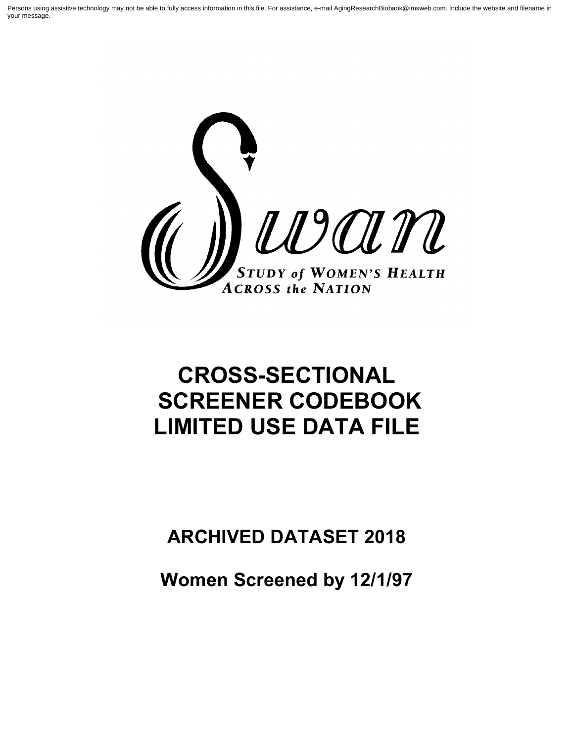Persons using assistive technology may not be able to fully access information in this file. For assistance, e-mail AgingResearchBiobank@imsweb.com. Include the website and filename in your message.



# **CROSS-SECTIONAL SCREENER CODEBOOK LIMITED USE DATA FILE**

## **ARCHIVED DATASET 2018**

**Women Screened by 12/1/97**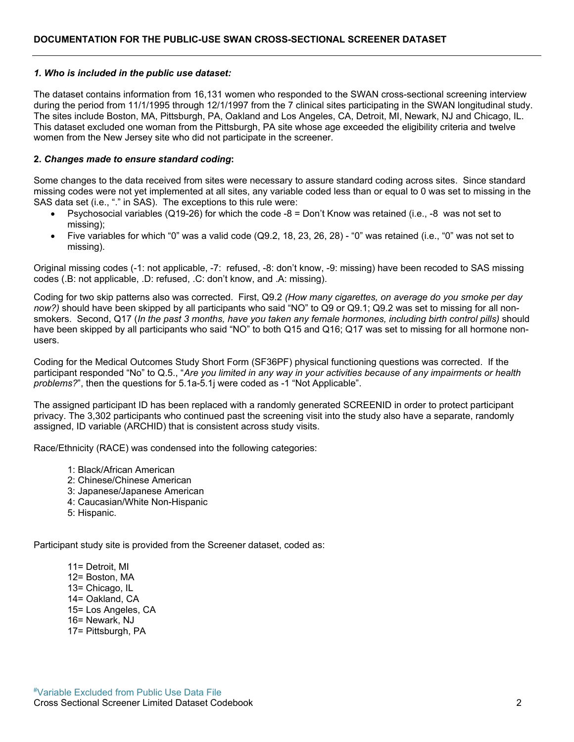#### *1. Who is included in the public use dataset:*

The dataset contains information from 16,131 women who responded to the SWAN cross-sectional screening interview during the period from 11/1/1995 through 12/1/1997 from the 7 clinical sites participating in the SWAN longitudinal study. The sites include Boston, MA, Pittsburgh, PA, Oakland and Los Angeles, CA, Detroit, MI, Newark, NJ and Chicago, IL. This dataset excluded one woman from the Pittsburgh, PA site whose age exceeded the eligibility criteria and twelve women from the New Jersey site who did not participate in the screener.

#### **2.** *Changes made to ensure standard coding***:**

Some changes to the data received from sites were necessary to assure standard coding across sites. Since standard missing codes were not yet implemented at all sites, any variable coded less than or equal to 0 was set to missing in the SAS data set (i.e., "." in SAS). The exceptions to this rule were:

- Psychosocial variables (Q19-26) for which the code -8 = Don't Know was retained (i.e., -8 was not set to missing);
- Five variables for which "0" was a valid code (Q9.2, 18, 23, 26, 28) "0" was retained (i.e., "0" was not set to missing).

Original missing codes (-1: not applicable, -7: refused, -8: don't know, -9: missing) have been recoded to SAS missing codes (.B: not applicable, .D: refused, .C: don't know, and .A: missing).

Coding for two skip patterns also was corrected. First, Q9.2 *(How many cigarettes, on average do you smoke per day now?)* should have been skipped by all participants who said "NO" to Q9 or Q9.1; Q9.2 was set to missing for all nonsmokers. Second, Q17 (*In the past 3 months, have you taken any female hormones, including birth control pills)* should have been skipped by all participants who said "NO" to both Q15 and Q16; Q17 was set to missing for all hormone nonusers.

Coding for the Medical Outcomes Study Short Form (SF36PF) physical functioning questions was corrected. If the participant responded "No" to Q.5., "*Are you limited in any way in your activities because of any impairments or health problems?*", then the questions for 5.1a-5.1j were coded as -1 "Not Applicable".

The assigned participant ID has been replaced with a randomly generated SCREENID in order to protect participant privacy. The 3,302 participants who continued past the screening visit into the study also have a separate, randomly assigned, ID variable (ARCHID) that is consistent across study visits.

Race/Ethnicity (RACE) was condensed into the following categories:

- 1: Black/African American
- 2: Chinese/Chinese American
- 3: Japanese/Japanese American
- 4: Caucasian/White Non-Hispanic
- 5: Hispanic.

Participant study site is provided from the Screener dataset, coded as:

11= Detroit, MI 12= Boston, MA 13= Chicago, IL 14= Oakland, CA 15= Los Angeles, CA 16= Newark, NJ 17= Pittsburgh, PA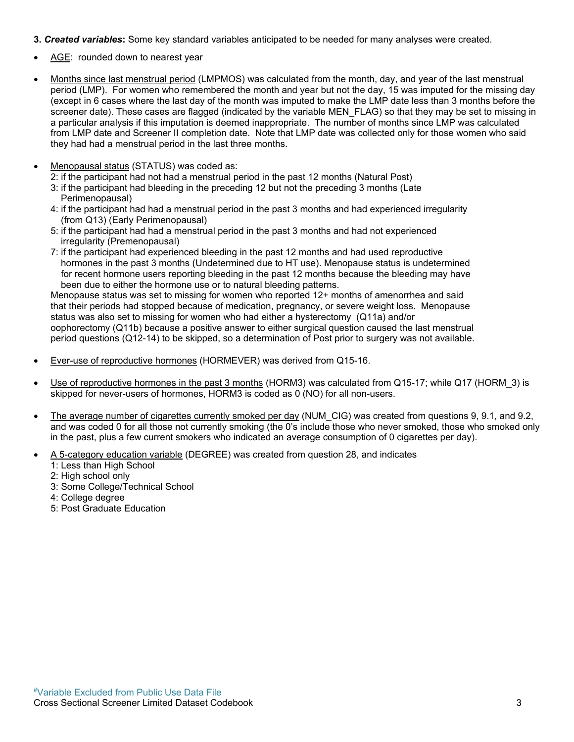- **3.** *Created variables***:** Some key standard variables anticipated to be needed for many analyses were created.
- AGE: rounded down to nearest year
- Months since last menstrual period (LMPMOS) was calculated from the month, day, and year of the last menstrual period (LMP). For women who remembered the month and year but not the day, 15 was imputed for the missing day (except in 6 cases where the last day of the month was imputed to make the LMP date less than 3 months before the screener date). These cases are flagged (indicated by the variable MEN\_FLAG) so that they may be set to missing in a particular analysis if this imputation is deemed inappropriate. The number of months since LMP was calculated from LMP date and Screener II completion date. Note that LMP date was collected only for those women who said they had had a menstrual period in the last three months.
- Menopausal status (STATUS) was coded as:

2: if the participant had not had a menstrual period in the past 12 months (Natural Post)

- 3: if the participant had bleeding in the preceding 12 but not the preceding 3 months (Late Perimenopausal)
- 4: if the participant had had a menstrual period in the past 3 months and had experienced irregularity (from Q13) (Early Perimenopausal)
- 5: if the participant had had a menstrual period in the past 3 months and had not experienced irregularity (Premenopausal)
- 7: if the participant had experienced bleeding in the past 12 months and had used reproductive hormones in the past 3 months (Undetermined due to HT use). Menopause status is undetermined for recent hormone users reporting bleeding in the past 12 months because the bleeding may have been due to either the hormone use or to natural bleeding patterns.

Menopause status was set to missing for women who reported 12+ months of amenorrhea and said that their periods had stopped because of medication, pregnancy, or severe weight loss. Menopause status was also set to missing for women who had either a hysterectomy (Q11a) and/or oophorectomy (Q11b) because a positive answer to either surgical question caused the last menstrual period questions (Q12-14) to be skipped, so a determination of Post prior to surgery was not available.

- Ever-use of reproductive hormones (HORMEVER) was derived from Q15-16.
- Use of reproductive hormones in the past 3 months (HORM3) was calculated from Q15-17; while Q17 (HORM 3) is skipped for never-users of hormones, HORM3 is coded as 0 (NO) for all non-users.
- The average number of cigarettes currently smoked per day (NUM\_CIG) was created from questions 9, 9.1, and 9.2, and was coded 0 for all those not currently smoking (the 0's include those who never smoked, those who smoked only in the past, plus a few current smokers who indicated an average consumption of 0 cigarettes per day).
- A 5-category education variable (DEGREE) was created from question 28, and indicates
	- 1: Less than High School
	- 2: High school only
	- 3: Some College/Technical School
	- 4: College degree
	- 5: Post Graduate Education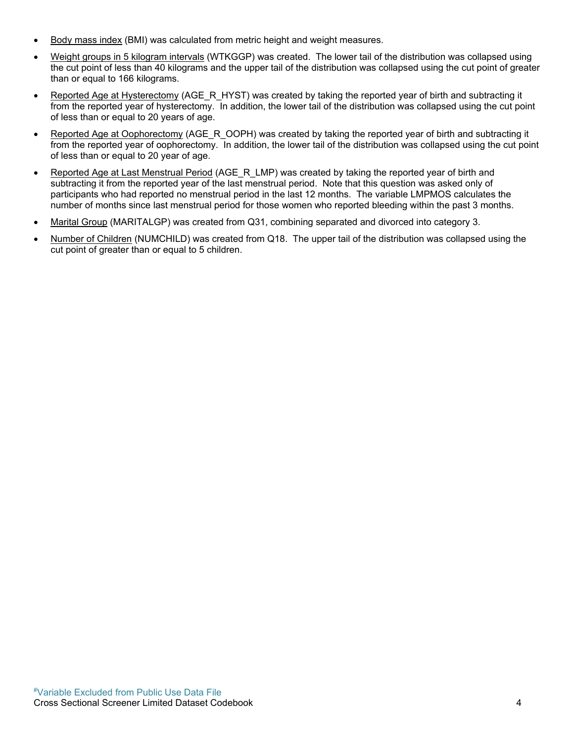- Body mass index (BMI) was calculated from metric height and weight measures.
- Weight groups in 5 kilogram intervals (WTKGGP) was created. The lower tail of the distribution was collapsed using the cut point of less than 40 kilograms and the upper tail of the distribution was collapsed using the cut point of greater than or equal to 166 kilograms.
- Reported Age at Hysterectomy (AGE\_R\_HYST) was created by taking the reported year of birth and subtracting it from the reported year of hysterectomy. In addition, the lower tail of the distribution was collapsed using the cut point of less than or equal to 20 years of age.
- Reported Age at Oophorectomy (AGE\_R\_OOPH) was created by taking the reported year of birth and subtracting it from the reported year of oophorectomy. In addition, the lower tail of the distribution was collapsed using the cut point of less than or equal to 20 year of age.
- Reported Age at Last Menstrual Period (AGE R LMP) was created by taking the reported year of birth and subtracting it from the reported year of the last menstrual period. Note that this question was asked only of participants who had reported no menstrual period in the last 12 months. The variable LMPMOS calculates the number of months since last menstrual period for those women who reported bleeding within the past 3 months.
- Marital Group (MARITALGP) was created from Q31, combining separated and divorced into category 3.
- Number of Children (NUMCHILD) was created from Q18. The upper tail of the distribution was collapsed using the cut point of greater than or equal to 5 children.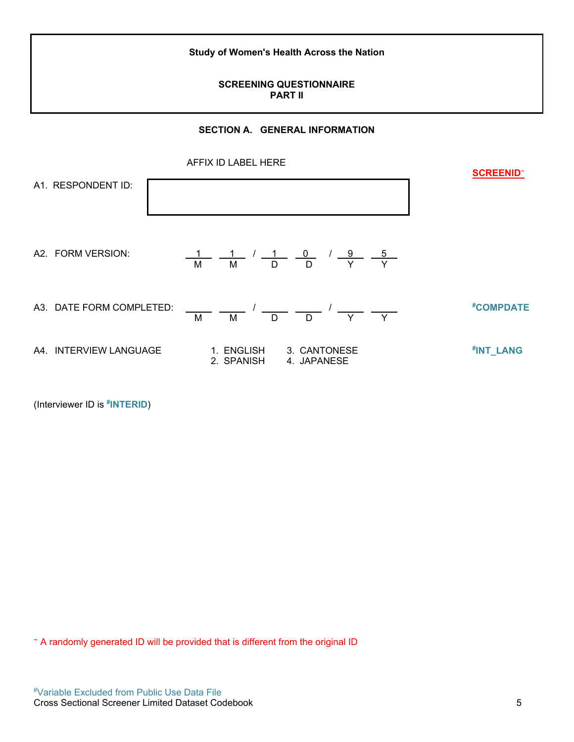**Study of Women's Health Across the Nation**

### **SCREENING QUESTIONNAIRE PART II**

#### **SECTION A. GENERAL INFORMATION**



(Interviewer ID is **# INTERID**)

<sup>~</sup> A randomly generated ID will be provided that is different from the original ID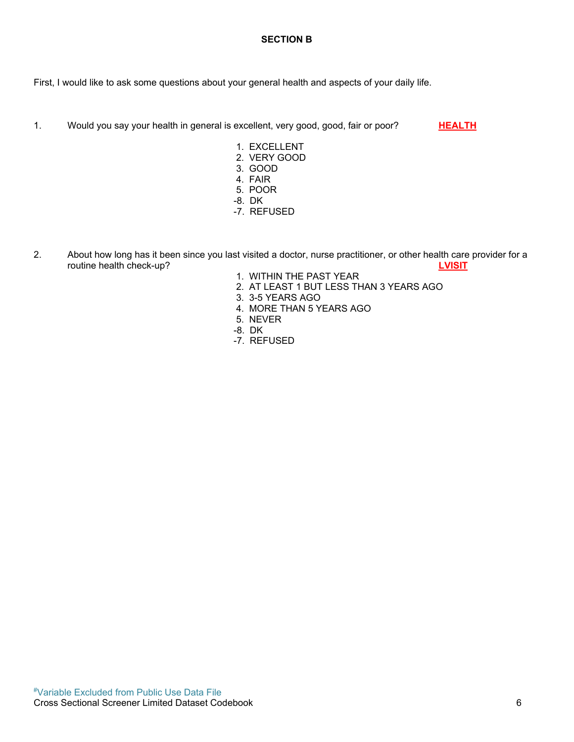#### **SECTION B**

First, I would like to ask some questions about your general health and aspects of your daily life.

1. Would you say your health in general is excellent, very good, good, fair or poor? **HEALTH** 

- 1. EXCELLENT
- 2. VERY GOOD
- 3. GOOD
- 4. FAIR
- 5. POOR
- -8. DK
- -7. REFUSED
- 2. About how long has it been since you last visited a doctor, nurse practitioner, or other health care provider for a routine health check-up? **LVISIT**
	- 1. WITHIN THE PAST YEAR
	- 2. AT LEAST 1 BUT LESS THAN 3 YEARS AGO
	- 3. 3-5 YEARS AGO
	- 4. MORE THAN 5 YEARS AGO
	- 5. NEVER
	- -8. DK
	- -7. REFUSED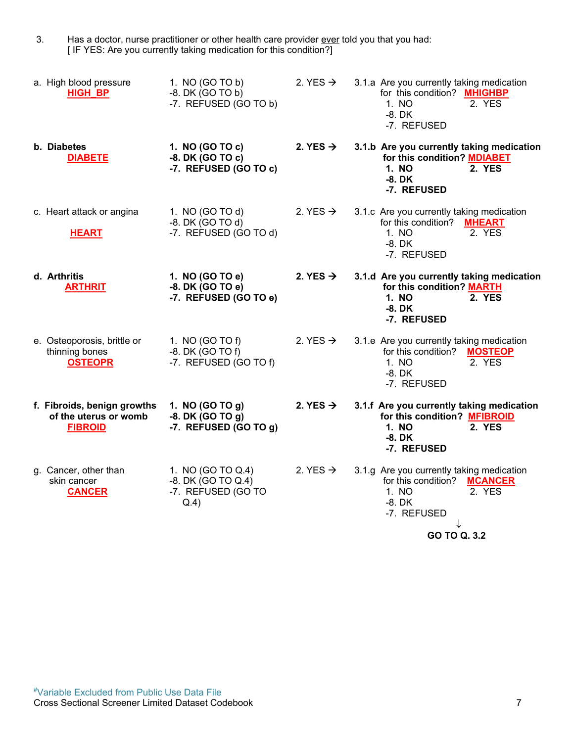3. Has a doctor, nurse practitioner or other health care provider <u>ever</u> told you that you had: [ IF YES: Are you currently taking medication for this condition?]

| a. High blood pressure<br><b>HIGH_BP</b>                               | 1. NO (GO TO b)<br>$-8.$ DK $(GOTOb)$<br>-7. REFUSED (GO TO b)        | 2. YES $\rightarrow$ | 3.1.a Are you currently taking medication<br>for this condition? MHIGHBP<br>1. NO<br>2. YES<br>$-8.$ DK<br>-7. REFUSED                           |
|------------------------------------------------------------------------|-----------------------------------------------------------------------|----------------------|--------------------------------------------------------------------------------------------------------------------------------------------------|
| b. Diabetes<br><b>DIABETE</b>                                          | 1. NO (GO TO c)<br>-8. DK (GO TO c)<br>-7. REFUSED (GO TO c)          | 2. YES $\rightarrow$ | 3.1.b Are you currently taking medication<br>for this condition? MDIABET<br>1. NO<br>2. YES<br>$-8.$ DK<br>-7. REFUSED                           |
| c. Heart attack or angina<br><b>HEART</b>                              | 1. NO (GO TO d)<br>-8. DK (GO TO d)<br>-7. REFUSED (GO TO d)          | 2. YES $\rightarrow$ | 3.1.c Are you currently taking medication<br>for this condition? MHEART<br>2. YES<br>1. NO<br>$-8.$ DK<br>-7. REFUSED                            |
| d. Arthritis<br><b>ARTHRIT</b>                                         | 1. NO (GO TO e)<br>-8. DK (GO TO e)<br>-7. REFUSED (GO TO e)          | 2. YES $\rightarrow$ | 3.1.d Are you currently taking medication<br>for this condition? MARTH<br>1. NO<br>2. YES<br>$-8.$ DK<br>-7. REFUSED                             |
| e. Osteoporosis, brittle or<br>thinning bones<br><b>OSTEOPR</b>        | 1. NO (GO TO f)<br>$-8.$ DK (GO TO f)<br>-7. REFUSED (GO TO f)        | 2. YES $\rightarrow$ | 3.1.e Are you currently taking medication<br>for this condition?<br><b>MOSTEOP</b><br>2. YES<br>1. NO<br>$-8.$ DK<br>-7. REFUSED                 |
| f. Fibroids, benign growths<br>of the uterus or womb<br><b>FIBROID</b> | 1. NO (GO TO g)<br>$-8.$ DK (GO TO $g$ )<br>-7. REFUSED (GO TO g)     | 2. YES $\rightarrow$ | 3.1.f Are you currently taking medication<br>for this condition? MFIBROID<br>1. NO<br>2. YES<br>$-8.$ DK<br>-7. REFUSED                          |
| g. Cancer, other than<br>skin cancer<br><b>CANCER</b>                  | 1. NO (GO TO Q.4)<br>-8. DK (GO TO Q.4)<br>-7. REFUSED (GO TO<br>Q.4) | 2. YES $\rightarrow$ | 3.1.g Are you currently taking medication<br>for this condition?<br><b>MCANCER</b><br>1. NO<br>2. YES<br>$-8.$ DK<br>-7. REFUSED<br>GO TO Q. 3.2 |
|                                                                        |                                                                       |                      |                                                                                                                                                  |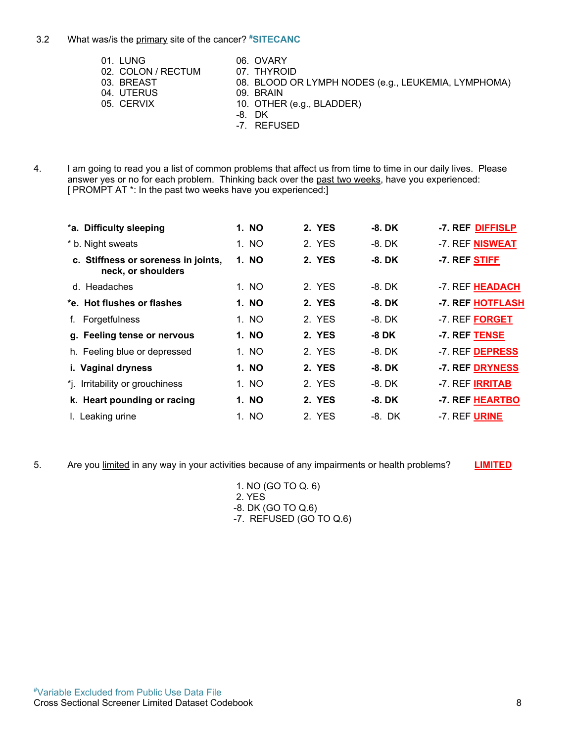#### 3.2 What was/is the primary site of the cancer? **#SITECANC**

- 01. LUNG 06. OVARY 02. COLON / RECTUM 07. THYROID<br>03. BREAST 08. BLOOD OI 08. BLOOD OR LYMPH NODES (e.g., LEUKEMIA, LYMPHOMA) 09. BRAIN 04. UTERUS 05. CERVIX 10. OTHER (e.g., BLADDER) -8. DK -7. REFUSED
- 4. I am going to read you a list of common problems that affect us from time to time in our daily lives. Please answer yes or no for each problem. Thinking back over the past two weeks, have you experienced: [ PROMPT AT \*: In the past two weeks have you experienced:]

| *a. Difficulty sleeping                                   | 1. NO | 2. YES | -8. DK   | -7. REF DIFFISLP       |
|-----------------------------------------------------------|-------|--------|----------|------------------------|
| * b. Night sweats                                         | 1. NO | 2. YES | -8. DK   | -7. REF NISWEAT        |
| c. Stiffness or soreness in joints,<br>neck, or shoulders | 1. NO | 2. YES | -8. DK   | -7. REF STIFF          |
| d. Headaches                                              | 1. NO | 2. YES | -8. DK   | -7. REF HEADACH        |
| *e. Hot flushes or flashes                                | 1. NO | 2. YES | $-8.$ DK | -7. REF HOTFLASH       |
| Forgetfulness                                             | 1. NO | 2. YES | -8. DK   | -7. REF FORGET         |
| g. Feeling tense or nervous                               | 1. NO | 2. YES | -8 DK    | -7. REF TENSE          |
| h. Feeling blue or depressed                              | 1. NO | 2. YES | -8. DK   | -7. REF DEPRESS        |
| i. Vaginal dryness                                        | 1. NO | 2. YES | -8. DK   | -7. REF DRYNESS        |
| *j. Irritability or grouchiness                           | 1. NO | 2. YES | $-8.$ DK | -7. REF <b>IRRITAB</b> |
| k. Heart pounding or racing                               | 1. NO | 2. YES | -8. DK   | -7. REF HEARTBO        |
| I. Leaking urine                                          | 1. NO | 2. YES | -8. DK   | -7. REF <b>URINE</b>   |

5. Are you limited in any way in your activities because of any impairments or health problems? **LIMITED**

1. NO (GO TO Q. 6) 2. YES -8. DK (GO TO Q.6)

-7. REFUSED (GO TO Q.6)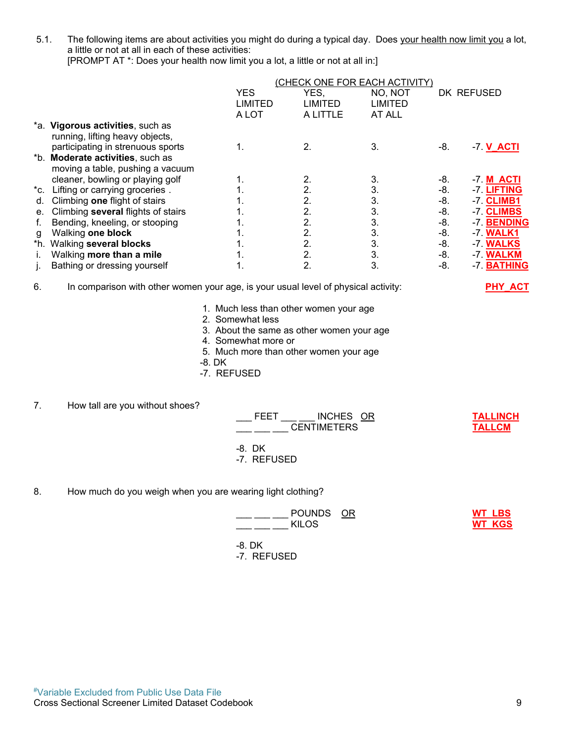5.1. The following items are about activities you might do during a typical day. Does your health now limit you a lot, a little or not at all in each of these activities: [PROMPT AT \*: Does your health now limit you a lot, a little or not at all in:]

|     |                                    | (CHECK ONE FOR EACH ACTIVITY) |                |                |     |                  |
|-----|------------------------------------|-------------------------------|----------------|----------------|-----|------------------|
|     |                                    | <b>YES</b>                    | YES,           | NO, NOT        |     | DK REFUSED       |
|     |                                    | LIMITED                       | <b>LIMITED</b> | <b>LIMITED</b> |     |                  |
|     |                                    | A LOT                         | A LITTLE       | AT ALL         |     |                  |
|     | *a. Vigorous activities, such as   |                               |                |                |     |                  |
|     | running, lifting heavy objects,    |                               |                |                |     |                  |
|     | participating in strenuous sports  | 1.                            | 2.             | 3.             | -8. | $-7. V$ $ACTI$   |
|     | *b. Moderate activities, such as   |                               |                |                |     |                  |
|     | moving a table, pushing a vacuum   |                               |                |                |     |                  |
|     | cleaner, bowling or playing golf   |                               | 2.             | 3.             | -8. | -7 <b>M ACTI</b> |
|     | *c. Lifting or carrying groceries. |                               | 2.             | 3.             | -8. | -7. LIFTING      |
| d.  | Climbing one flight of stairs      |                               | 2.             | 3.             | -8. | -7. CLIMB1       |
| е.  | Climbing several flights of stairs |                               | 2.             | 3.             | -8. | -7. CLIMBS       |
| f.  | Bending, kneeling, or stooping     |                               | 2.             | 3.             | -8. | -7. BENDING      |
| g   | Walking one block                  |                               | 2.             | 3.             | -8. | -7. <b>WALK1</b> |
| *h. | Walking several blocks             |                               | 2.             | 3.             | -8. | -7. WALKS        |
| Ĺ.  | Walking more than a mile           | 1.                            | 2.             | 3.             | -8. | -7. WALKM        |
|     | Bathing or dressing yourself       |                               | 2.             | 3.             | -8. | -7. BATHING      |
|     |                                    |                               |                |                |     |                  |

#### 6. In comparison with other women your age, is your usual level of physical activity: **PHY\_ACT**

- 1. Much less than other women your age
- 2. Somewhat less
- 3. About the same as other women your age
- 4. Somewhat more or
- 5. Much more than other women your age
- -8. DK
- -7. REFUSED

7. How tall are you without shoes?

| FEET | INCHES OR          | <b>TALLINCH</b> |
|------|--------------------|-----------------|
|      | <b>CENTIMETERS</b> | <b>TALLCM</b>   |
|      |                    |                 |

- -8. DK
- -7. REFUSED
- 8. How much do you weigh when you are wearing light clothing?

| POUNDS OR<br><b>KILOS</b> | <b>WT LBS</b><br><b>WT KGS</b> |
|---------------------------|--------------------------------|
| -8. DK<br>-7. REFUSED     |                                |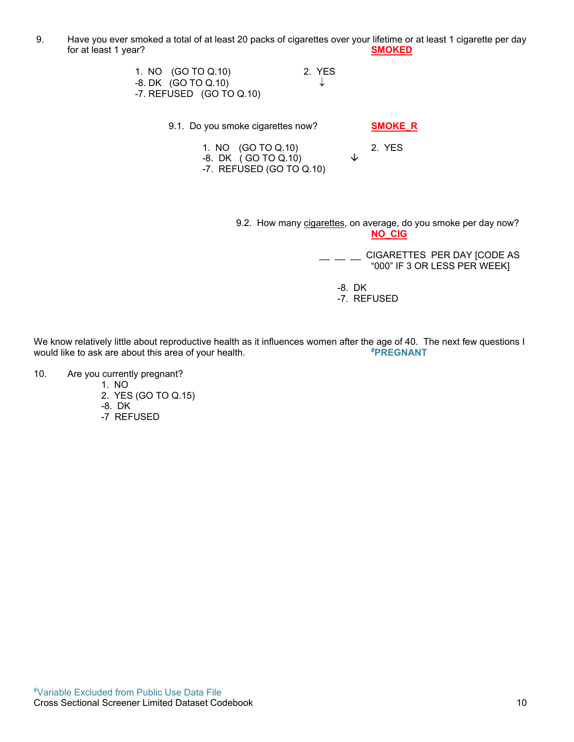9. Have you ever smoked a total of at least 20 packs of cigarettes over your lifetime or at least 1 cigarette per day for at least 1 year? **SMOKED**

| 1. NO (GO TO Q.10)         | 2. YES |
|----------------------------|--------|
| -8. DK (GO TO Q.10)        | -Jz    |
| -7. REFUSED $(GO$ TO Q.10) |        |

9.1. Do you smoke cigarettes now? **SMOKE\_R**

1. NO (GO TO Q.10) 2. YES -8. DK ( GO TO Q.10) -7. REFUSED (GO TO Q.10)

9.2. How many cigarettes, on average, do you smoke per day now? **NO\_CIG**

> $\frac{CIGARETTES}{CIGR}$  PER DAY [CODE AS "000" IF 3 OR LESS PER WEEK]

-8. DK

-7. REFUSED

We know relatively little about reproductive health as it influences women after the age of 40. The next few questions I<br>would like to ask are about this area of your health. would like to ask are about this area of your health.

- 10. Are you currently pregnant?
	- 1. NO
	- 2. YES (GO TO Q.15)
	- -8. DK
	- -7 REFUSED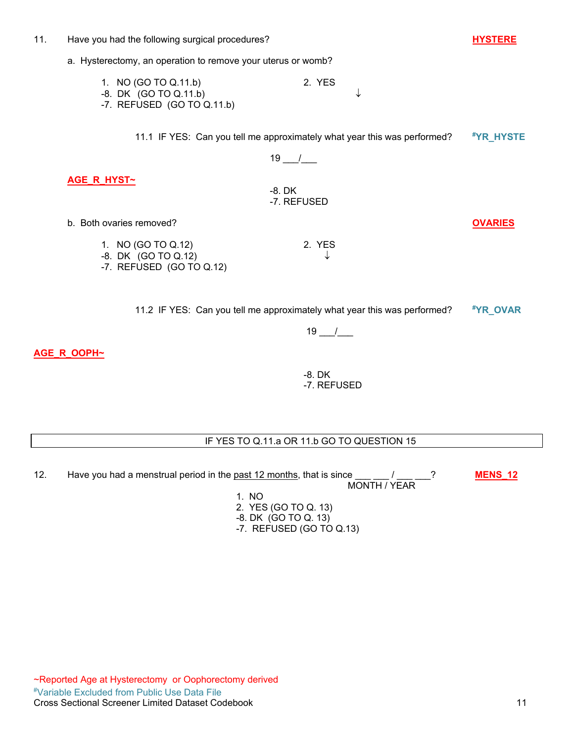#### 11. Have you had the following surgical procedures? **HYSTERE**

a. Hysterectomy, an operation to remove your uterus or womb?

| 1. NO (GO TO Q.11.b)       | 2. YES |
|----------------------------|--------|
| -8. DK (GO TO Q.11.b)      |        |
| -7. REFUSED (GO TO Q.11.b) |        |

11.1 IF YES: Can you tell me approximately what year this was performed? **#YR\_HYSTE**

 $19$   $\_$  /

**AGE\_R\_HYST~**

-8. DK -7. REFUSED

- b. Both ovaries removed? **OVARIES**
	- 1. NO (GO TO Q.12) 2. YES -8. DK (GO TO Q.12) -7. REFUSED (GO TO Q.12)

11.2 IF YES: Can you tell me approximately what year this was performed? **#YR\_OVAR**

 $19$   $\_$  /  $\_$ 

**AGE\_R\_OOPH~**

-8. DK -7. REFUSED

#### IF YES TO Q.11.a OR 11.b GO TO QUESTION 15

12. Have you had a menstrual period in the <u>past 12 months</u>, that is since \_\_\_ \_\_ / \_\_\_ \_\_? **MENS\_12**  $\frac{1}{\text{MeV}} = \frac{1}{\text{MeV}}$  MONTH / YEAR 1. NO

2. YES (GO TO Q. 13)

- -8. DK (GO TO Q. 13)
- -7. REFUSED (GO TO Q.13)

#Variable Excluded from Public Use Data File Cross Sectional Screener Limited Dataset Codebook 11 ~Reported Age at Hysterectomy or Oophorectomy derived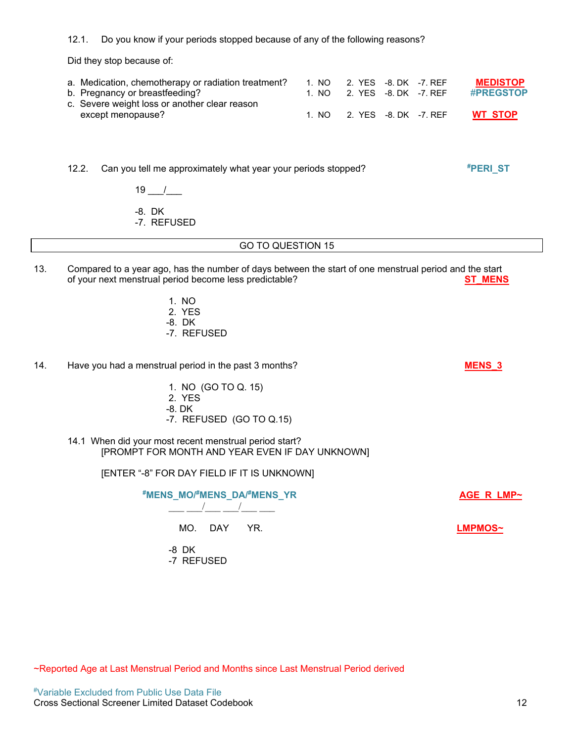12.1. Do you know if your periods stopped because of any of the following reasons?

Did they stop because of:

| a. Medication, chemotherapy or radiation treatment? |       | 1. NO 2. YES -8. DK -7. REF | <b>MEDISTOP</b>  |
|-----------------------------------------------------|-------|-----------------------------|------------------|
| b. Pregnancy or breastfeeding?                      |       | 1. NO 2. YES -8. DK -7. REF | <b>#PREGSTOP</b> |
| c. Severe weight loss or another clear reason       |       |                             |                  |
| except menopause?                                   | 1. NO | 2. YES -8. DK -7. REF       | <b>WT STOP</b>   |

12.2. Can you tell me approximately what year your periods stopped?

 $19$  /

-8. DK

-7. REFUSED

#### GO TO QUESTION 15

- 13. Compared to a year ago, has the number of days between the start of one menstrual period and the start of your next menstrual period become less predictable? **ST\_MENS**
	- 1. NO
	- 2. YES
	- -8. DK
	- -7. REFUSED
- 14. Have you had a menstrual period in the past 3 months? **MENS 3** 
	- 1. NO (GO TO Q. 15)
	- 2. YES
	- -8. DK
	- -7. REFUSED (GO TO Q.15)
	- 14.1 When did your most recent menstrual period start? [PROMPT FOR MONTH AND YEAR EVEN IF DAY UNKNOWN]

[ENTER "-8" FOR DAY FIELD IF IT IS UNKNOWN]

| #MENS_MO/#MENS_DA/#MENS_YR | AGE R LMP~ |
|----------------------------|------------|
| MO. DAY YR.                | LMPMOS~    |
| -8 DK<br>-7 REFUSED        |            |

**#PERI\_ST**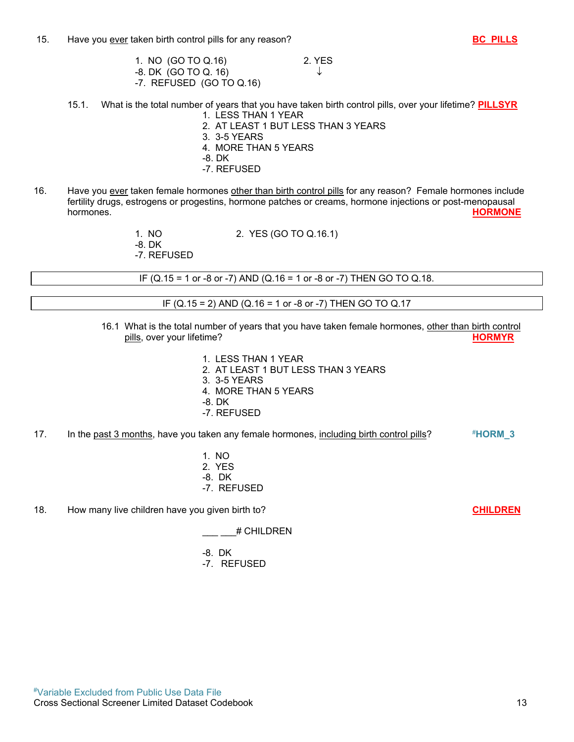- 1. NO (GO TO Q.16) 2. YES  $-8. \, DK \, (GO \, TO \, Q. \, 16)$   $\downarrow$ -7. REFUSED (GO TO Q.16)
- 15.1. What is the total number of years that you have taken birth control pills, over your lifetime? **PILLSYR** 1. LESS THAN 1 YEAR
	- 2. AT LEAST 1 BUT LESS THAN 3 YEARS
	- 3. 3-5 YEARS
	- 4. MORE THAN 5 YEARS
	- -8. DK
	- -7. REFUSED
- 16. Have you ever taken female hormones other than birth control pills for any reason? Female hormones include fertility drugs, estrogens or progestins, hormone patches or creams, hormone injections or post-menopausal<br>**HORMONE** hormones. **HORMONE**
	- 1. NO 2. YES (GO TO Q.16.1) -8. DK
	- -7. REFUSED

IF (Q.15 = 1 or -8 or -7) AND (Q.16 = 1 or -8 or -7) THEN GO TO Q.18.

IF (Q.15 = 2) AND (Q.16 = 1 or -8 or -7) THEN GO TO Q.17

- 16.1 What is the total number of years that you have taken female hormones, other than birth control pills, over your lifetime? **HORMYR**
	- 1. LESS THAN 1 YEAR
	- 2. AT LEAST 1 BUT LESS THAN 3 YEARS
	- 3. 3-5 YEARS
	- 4. MORE THAN 5 YEARS
	- -8. DK
	- -7. REFUSED
- 17. In the past 3 months, have you taken any female hormones, including birth control pills? #**HORM\_3**
	- 1. NO 2. YES -8. DK -7. REFUSED
- 18. How many live children have you given birth to? **CHILDREN**

\_\_\_ \_\_\_# CHILDREN

- -8. DK
- -7. REFUSED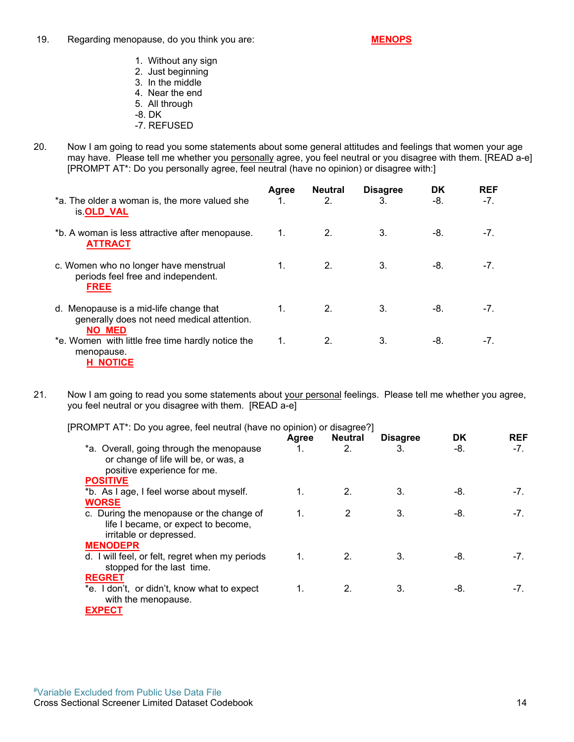19. Regarding menopause, do you think you are: **MENOPS**

- 1. Without any sign
- 2. Just beginning
- 3. In the middle 4. Near the end
- 
- 5. All through -8. DK
- 
- -7. REFUSED
- 20. Now I am going to read you some statements about some general attitudes and feelings that women your age may have. Please tell me whether you personally agree, you feel neutral or you disagree with them. [READ a-e] [PROMPT AT\*: Do you personally agree, feel neutral (have no opinion) or disagree with:]

| *a. The older a woman is, the more valued she<br>is.OLD_VAL                                           | Agree | <b>Neutral</b><br>2. | <b>Disagree</b><br>3. | <b>DK</b><br>-8. | <b>REF</b><br>-7. |
|-------------------------------------------------------------------------------------------------------|-------|----------------------|-----------------------|------------------|-------------------|
| *b. A woman is less attractive after menopause.<br><b>ATTRACT</b>                                     | 1.    | 2.                   | 3.                    | -8.              | $-7.$             |
| c. Women who no longer have menstrual<br>periods feel free and independent.<br><b>FREE</b>            | 1.    | 2.                   | 3.                    | -8.              | $-7.$             |
| d. Menopause is a mid-life change that<br>generally does not need medical attention.<br><b>NO MED</b> | 1.    | 2.                   | 3.                    | -8.              | $-7.$             |
| *e. Women with little free time hardly notice the<br>menopause.<br><b>H NOTICE</b>                    | 1.    | 2.                   | 3.                    | -8.              | $-71$             |

21. Now I am going to read you some statements about your personal feelings. Please tell me whether you agree, you feel neutral or you disagree with them. [READ a-e]

|                                                                                                                 | Agree       | Neutral      | <b>Disagree</b> | <b>DK</b> | <b>REF</b> |
|-----------------------------------------------------------------------------------------------------------------|-------------|--------------|-----------------|-----------|------------|
| *a. Overall, going through the menopause<br>or change of life will be, or was, a<br>positive experience for me. |             | 2.           | 3.              | -8.       | $-7.$      |
| <b>POSITIVE</b>                                                                                                 |             |              |                 |           |            |
| *b. As I age, I feel worse about myself.                                                                        |             | $\mathbf{2}$ | 3.              | -8.       | $-7.$      |
| <b>WORSE</b>                                                                                                    |             |              |                 |           |            |
| c. During the menopause or the change of<br>life I became, or expect to become,<br>irritable or depressed.      | $\mathbf 1$ | 2            | 3.              | -8.       | $-72$      |
| <b>MENODEPR</b>                                                                                                 |             |              |                 |           |            |
| d. I will feel, or felt, regret when my periods<br>stopped for the last time.                                   | 1.          | 2.           | 3.              | -8.       | $-7.$      |
| <b>REGRET</b>                                                                                                   |             |              |                 |           |            |
| *e. I don't, or didn't, know what to expect<br>with the menopause.<br><b>EXPECT</b>                             | 1.          | 2.           | 3.              | -8.       | $-71$      |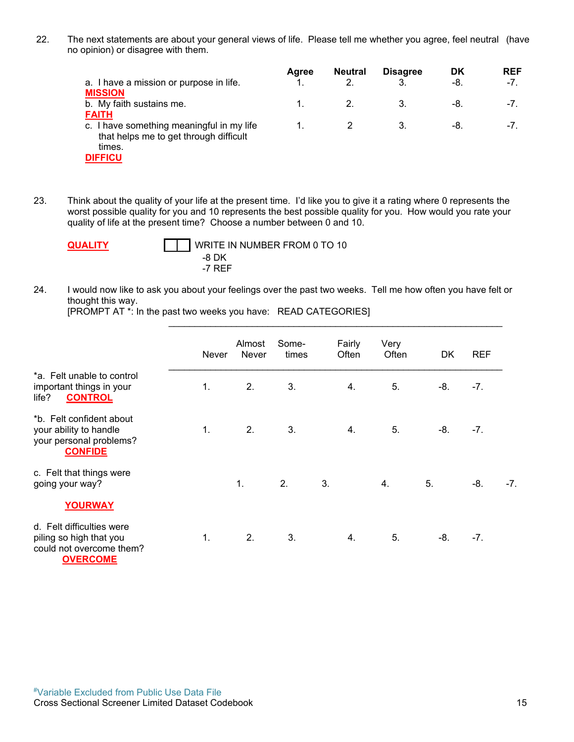22. The next statements are about your general views of life. Please tell me whether you agree, feel neutral (have no opinion) or disagree with them.

|                                           | Agree | <b>Neutral</b> | <b>Disagree</b> | DK  | <b>REF</b> |
|-------------------------------------------|-------|----------------|-----------------|-----|------------|
| a. I have a mission or purpose in life.   |       |                |                 | -8. | $-7.$      |
| <b>MISSION</b>                            |       |                |                 |     |            |
| b. My faith sustains me.                  |       |                |                 | -8. | $-1$ .     |
| <b>FAITH</b>                              |       |                |                 |     |            |
| c. I have something meaningful in my life |       |                |                 | -8. | $-1$ .     |
| that helps me to get through difficult    |       |                |                 |     |            |
| times.                                    |       |                |                 |     |            |
| -------                                   |       |                |                 |     |            |

**DIFFICU**

23. Think about the quality of your life at the present time. I'd like you to give it a rating where 0 represents the worst possible quality for you and 10 represents the best possible quality for you. How would you rate your quality of life at the present time? Choose a number between 0 and 10.

**QUALITY** WRITE IN NUMBER FROM 0 TO 10 -8 DK -7 REF

24. I would now like to ask you about your feelings over the past two weeks. Tell me how often you have felt or thought this way.

\_\_\_\_\_\_\_\_\_\_\_\_\_\_\_\_\_\_\_\_\_\_\_\_\_\_\_\_\_\_\_\_\_\_\_\_\_\_\_\_\_\_\_\_\_\_\_\_\_\_\_\_\_\_\_\_\_\_\_\_\_\_\_\_

[PROMPT AT \*: In the past two weeks you have: READ CATEGORIES]

|                                                                                                     | <b>Never</b> | Almost<br><b>Never</b> | Some-<br>times | Fairly<br>Often | Very<br>Often | DK    | <b>REF</b> |       |
|-----------------------------------------------------------------------------------------------------|--------------|------------------------|----------------|-----------------|---------------|-------|------------|-------|
| *a. Felt unable to control<br>important things in your<br><b>CONTROL</b><br>life?                   | 1.           | 2.                     | 3.             | 4.              | 5.            | -8.   | $-7.$      |       |
| *b. Felt confident about<br>your ability to handle<br>your personal problems?<br><b>CONFIDE</b>     | 1.           | 2.                     | 3.             | 4.              | 5.            | -8.   | $-7.$      |       |
| c. Felt that things were<br>going your way?                                                         |              | 1.                     | 2.             | 3.              | 4.            | 5.    | $-8.$      | $-7.$ |
| <b>YOURWAY</b>                                                                                      |              |                        |                |                 |               |       |            |       |
| d. Felt difficulties were<br>piling so high that you<br>could not overcome them?<br><b>OVERCOME</b> | 1.           | 2.                     | 3.             | 4.              | 5.            | $-8.$ | $-7.$      |       |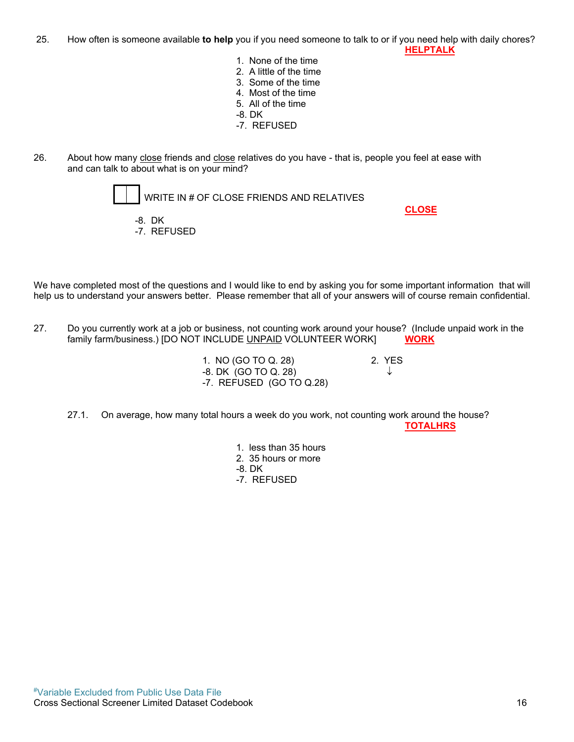25. How often is someone available **to help** you if you need someone to talk to or if you need help with daily chores?  **HELPTALK**

- 1. None of the time
- 2. A little of the time
- 3. Some of the time
- 4. Most of the time
- 5. All of the time
- -8. DK
- -7. REFUSED
- 26. About how many close friends and close relatives do you have that is, people you feel at ease with and can talk to about what is on your mind?



We have completed most of the questions and I would like to end by asking you for some important information that will help us to understand your answers better. Please remember that all of your answers will of course remain confidential.

27. Do you currently work at a job or business, not counting work around your house? (Include unpaid work in the family farm/business.) [DO NOT INCLUDE UNPAID VOLUNTEER WORK] **WORK**

> 1. NO (GO TO Q. 28) 2. YES -8. DK (GO TO Q. 28) -7. REFUSED (GO TO Q.28)

27.1. On average, how many total hours a week do you work, not counting work around the house? **TOTALHRS**

- 1. less than 35 hours
- 2. 35 hours or more
- -8. DK
- -7. REFUSED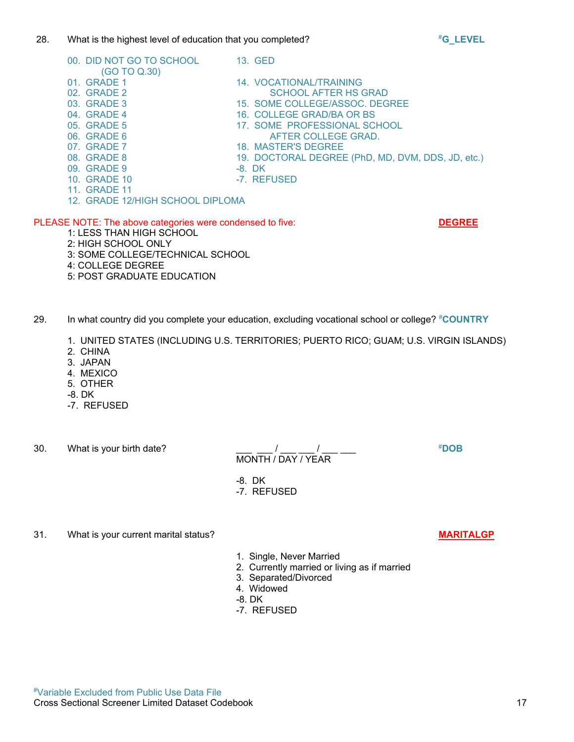### #Variable Excluded from Public Use Data File Cross Sectional Screener Limited Dataset Codebook 17

#### 28. What is the highest level of education that you completed?

- 07. GRADE 7 18. MASTER'S DEGREE<br>19. GRADE 8 19. DOCTORAL DEGREE 09. GRADE 9 -8. DK 10. GRADE 10 -7. REFUSED
	-

#### PLEASE NOTE: The above categories were condensed to five: **DEGREE**

- 1: LESS THAN HIGH SCHOOL
- 2: HIGH SCHOOL ONLY

(GO TO Q.30)<br>01. GRADE 1

- 3: SOME COLLEGE/TECHNICAL SCHOOL
- 4: COLLEGE DEGREE
- 5: POST GRADUATE EDUCATION
- 29. In what country did you complete your education, excluding vocational school or college? #**COUNTRY**
	- 1. UNITED STATES (INCLUDING U.S. TERRITORIES; PUERTO RICO; GUAM; U.S. VIRGIN ISLANDS)
	- 2. CHINA
	- 3. JAPAN
	- 4. MEXICO
	- 5. OTHER
	- -8. DK
	- -7. REFUSED
- 30. What is your birth date? \_\_\_ \_\_\_ / \_\_\_ \_\_\_ / \_\_\_ \_\_\_ #**DOB**

-8. DK

- -7. REFUSED
- 31. What is your current marital status? **MARITALGP**
	- 1. Single, Never Married

MONTH / DAY / YEAR

- 2. Currently married or living as if married
- 3. Separated/Divorced
- 4. Widowed
- -8. DK
- -7. REFUSED

- 00. DID NOT GO TO SCHOOL 13. GED
- 01. GRADE 1 14. VOCATIONAL/TRAINING<br>02. GRADE 2 14. VOCATIONAL/TRAINING SCHOOL AFTER HS GRAD
- 03. GRADE 3 15. SOME COLLEGE/ASSOC. DEGREE
- 04. GRADE 4 16. COLLEGE GRAD/BA OR BS
- 05. GRADE 5 17. SOME PROFESSIONAL SCHOOL
- 06. GRADE 6 AFTER COLLEGE GRAD.
	-
	- 19. DOCTORAL DEGREE (PhD, MD, DVM, DDS, JD, etc.)

- 11. GRADE 11
- 12. GRADE 12/HIGH SCHOOL DIPLOMA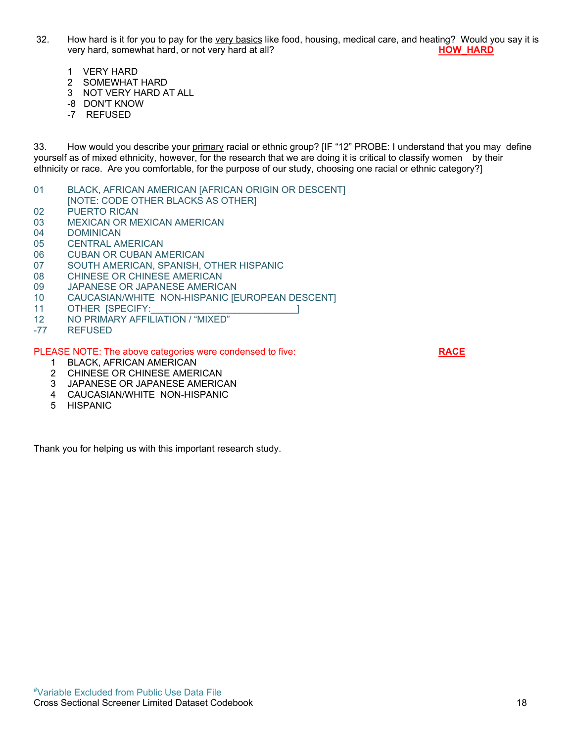- 32. How hard is it for you to pay for the very basics like food, housing, medical care, and heating? Would you say it is very hard, somewhat hard, or not very hard at all? **HOW HARD** 
	- 1 VERY HARD
	- 2 SOMEWHAT HARD
	- 3 NOT VERY HARD AT ALL
	- -8 DON'T KNOW
	- -7 REFUSED

33. How would you describe your primary racial or ethnic group? [IF "12" PROBE: I understand that you may define yourself as of mixed ethnicity, however, for the research that we are doing it is critical to classify women by their ethnicity or race. Are you comfortable, for the purpose of our study, choosing one racial or ethnic category?]

- 01 BLACK, AFRICAN AMERICAN [AFRICAN ORIGIN OR DESCENT]
- [NOTE: CODE OTHER BLACKS AS OTHER]
- 02 PUERTO RICAN
- 03 MEXICAN OR MEXICAN AMERICAN
- 04 DOMINICAN
- 05 CENTRAL AMERICAN
- 06 CUBAN OR CUBAN AMERICAN
- 07 SOUTH AMERICAN, SPANISH, OTHER HISPANIC
- 08 CHINESE OR CHINESE AMERICAN
- 09 JAPANESE OR JAPANESE AMERICAN
- 10 CAUCASIAN/WHITE NON-HISPANIC [EUROPEAN DESCENT]
- 11 OTHER [SPECIFY: 11 OTHER 2014]
- 12 NO PRIMARY AFFILIATION / "MIXED"
- -77 REFUSED

PLEASE NOTE: The above categories were condensed to five: **RACE**

- 1 BLACK, AFRICAN AMERICAN
- 2 CHINESE OR CHINESE AMERICAN
- 3 JAPANESE OR JAPANESE AMERICAN
- 4 CAUCASIAN/WHITE NON-HISPANIC
- 5 HISPANIC

Thank you for helping us with this important research study.